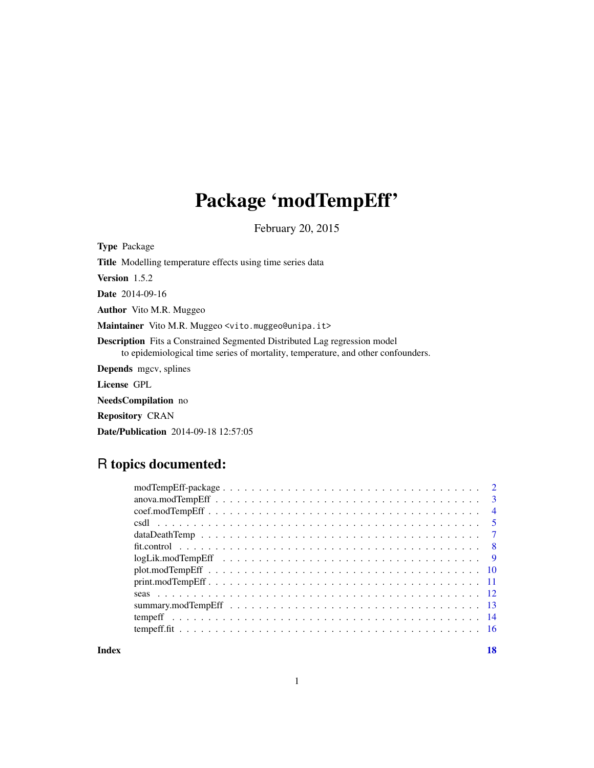# Package 'modTempEff'

February 20, 2015

<span id="page-0-0"></span>

| <b>Type Package</b>                                                                                                                                                  |
|----------------------------------------------------------------------------------------------------------------------------------------------------------------------|
| <b>Title</b> Modelling temperature effects using time series data                                                                                                    |
| <b>Version</b> $1.5.2$                                                                                                                                               |
| <b>Date</b> 2014-09-16                                                                                                                                               |
| <b>Author</b> Vito M.R. Muggeo                                                                                                                                       |
| Maintainer Vito M.R. Muggeo <vito.muggeo@unipa.it></vito.muggeo@unipa.it>                                                                                            |
| <b>Description</b> Fits a Constrained Segmented Distributed Lag regression model<br>to epidemiological time series of mortality, temperature, and other confounders. |
| <b>Depends</b> mgcv, splines                                                                                                                                         |
| License GPL                                                                                                                                                          |
| <b>NeedsCompilation</b> no                                                                                                                                           |
| <b>Repository CRAN</b>                                                                                                                                               |

Date/Publication 2014-09-18 12:57:05

# R topics documented:

| $\overline{4}$ |
|----------------|
| - 5            |
|                |
|                |
|                |
|                |
|                |
|                |
|                |
|                |
|                |
|                |

**Index** 2008 **[18](#page-17-0)**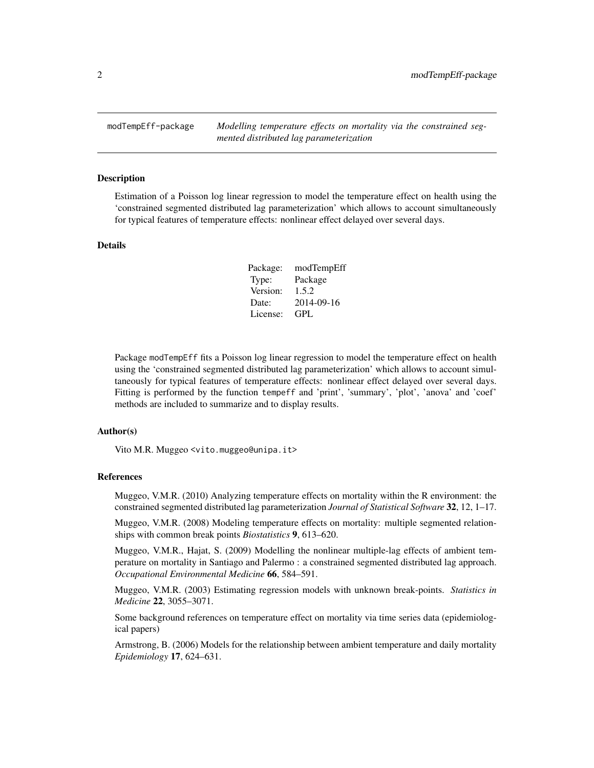<span id="page-1-1"></span><span id="page-1-0"></span>modTempEff-package *Modelling temperature effects on mortality via the constrained segmented distributed lag parameterization*

#### Description

Estimation of a Poisson log linear regression to model the temperature effect on health using the 'constrained segmented distributed lag parameterization' which allows to account simultaneously for typical features of temperature effects: nonlinear effect delayed over several days.

#### Details

| Package: | modTempEff |
|----------|------------|
| Type:    | Package    |
| Version: | 1.5.2      |
| Date:    | 2014-09-16 |
| License: | GPL.       |

Package modTempEff fits a Poisson log linear regression to model the temperature effect on health using the 'constrained segmented distributed lag parameterization' which allows to account simultaneously for typical features of temperature effects: nonlinear effect delayed over several days. Fitting is performed by the function tempeff and 'print', 'summary', 'plot', 'anova' and 'coef' methods are included to summarize and to display results.

# Author(s)

Vito M.R. Muggeo <vito.muggeo@unipa.it>

# References

Muggeo, V.M.R. (2010) Analyzing temperature effects on mortality within the R environment: the constrained segmented distributed lag parameterization *Journal of Statistical Software* 32, 12, 1–17.

Muggeo, V.M.R. (2008) Modeling temperature effects on mortality: multiple segmented relationships with common break points *Biostatistics* 9, 613–620.

Muggeo, V.M.R., Hajat, S. (2009) Modelling the nonlinear multiple-lag effects of ambient temperature on mortality in Santiago and Palermo : a constrained segmented distributed lag approach. *Occupational Environmental Medicine* 66, 584–591.

Muggeo, V.M.R. (2003) Estimating regression models with unknown break-points. *Statistics in Medicine* 22, 3055–3071.

Some background references on temperature effect on mortality via time series data (epidemiological papers)

Armstrong, B. (2006) Models for the relationship between ambient temperature and daily mortality *Epidemiology* 17, 624–631.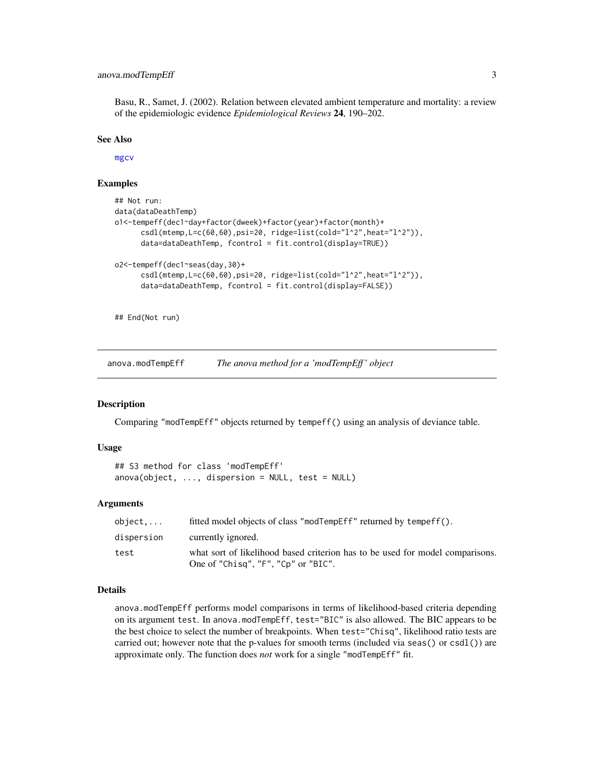# <span id="page-2-0"></span>anova.modTempEff 3

Basu, R., Samet, J. (2002). Relation between elevated ambient temperature and mortality: a review of the epidemiologic evidence *Epidemiological Reviews* 24, 190–202.

#### See Also

[mgcv](#page-0-0)

# Examples

```
## Not run:
data(dataDeathTemp)
o1<-tempeff(dec1~day+factor(dweek)+factor(year)+factor(month)+
      csdl(mtemp, L=c(60, 60), psi=20, ridge=list(cold="1^2", heat="1^2").data=dataDeathTemp, fcontrol = fit.control(display=TRUE))
o2<-tempeff(dec1~seas(day,30)+
     csdl(mtemp,L=c(60,60),psi=20, ridge=list(cold="l^2",heat="l^2")),
      data=dataDeathTemp, fcontrol = fit.control(display=FALSE))
```
## End(Not run)

anova.modTempEff *The anova method for a 'modTempEff ' object*

#### Description

Comparing "modTempEff" objects returned by tempeff() using an analysis of deviance table.

#### Usage

```
## S3 method for class 'modTempEff'
anova(object, ..., dispersion = NULL, test = NULL)
```
# Arguments

| object     | fitted model objects of class "modTempEff" returned by tempeff().                                                    |
|------------|----------------------------------------------------------------------------------------------------------------------|
| dispersion | currently ignored.                                                                                                   |
| test       | what sort of likelihood based criterion has to be used for model comparisons.<br>One of "Chisq", "F", "Cp" or "BIC". |

#### Details

anova.modTempEff performs model comparisons in terms of likelihood-based criteria depending on its argument test. In anova.modTempEff, test="BIC" is also allowed. The BIC appears to be the best choice to select the number of breakpoints. When test="Chisq", likelihood ratio tests are carried out; however note that the p-values for smooth terms (included via seas() or csdl()) are approximate only. The function does *not* work for a single "modTempEff" fit.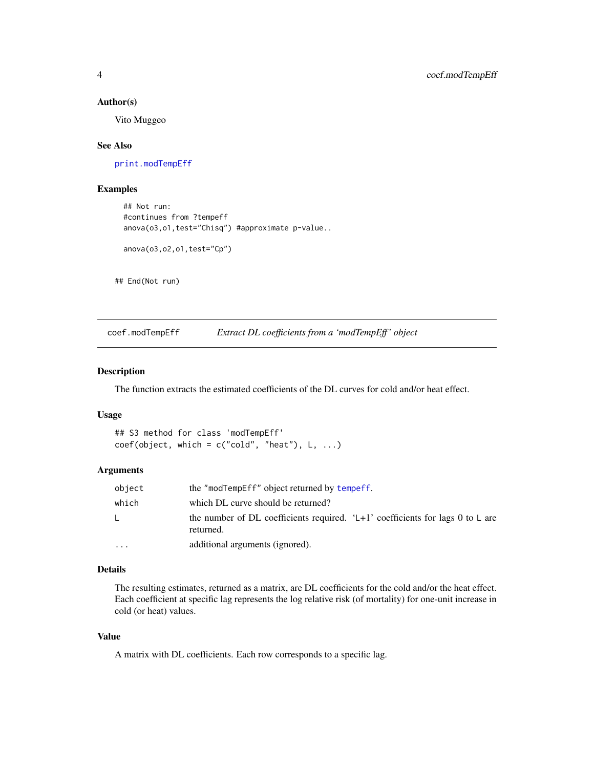# Author(s)

Vito Muggeo

#### See Also

[print.modTempEff](#page-10-1)

# Examples

```
## Not run:
#continues from ?tempeff
anova(03,01,test="Chisq") #approximate p-value..
anova(o3,o2,o1,test="Cp")
```
## End(Not run)

coef.modTempEff *Extract DL coefficients from a 'modTempEff ' object*

### Description

The function extracts the estimated coefficients of the DL curves for cold and/or heat effect.

# Usage

```
## S3 method for class 'modTempEff'
coef(object, which = c("cold", "heat"), L, ...)
```
# Arguments

| object   | the "modTempEff" object returned by tempeff.                                                    |
|----------|-------------------------------------------------------------------------------------------------|
| which    | which DL curve should be returned?                                                              |
| L.       | the number of DL coefficients required. ' $L+1$ ' coefficients for lags 0 to L are<br>returned. |
| $\cdots$ | additional arguments (ignored).                                                                 |

# Details

The resulting estimates, returned as a matrix, are DL coefficients for the cold and/or the heat effect. Each coefficient at specific lag represents the log relative risk (of mortality) for one-unit increase in cold (or heat) values.

# Value

A matrix with DL coefficients. Each row corresponds to a specific lag.

<span id="page-3-0"></span>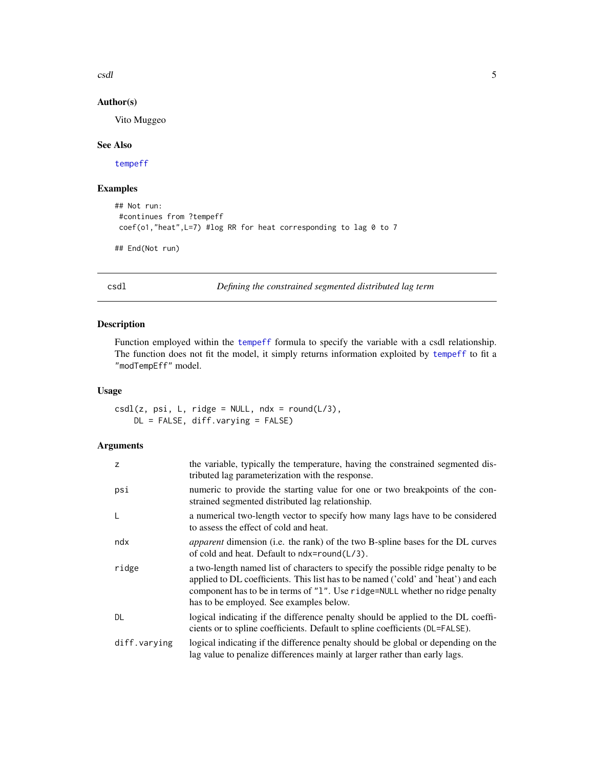<span id="page-4-0"></span>csdl 5

# Author(s)

Vito Muggeo

# See Also

[tempeff](#page-13-1)

# Examples

```
## Not run:
#continues from ?tempeff
coef(o1,"heat",L=7) #log RR for heat corresponding to lag 0 to 7
## End(Not run)
```
<span id="page-4-1"></span>csdl *Defining the constrained segmented distributed lag term*

# Description

Function employed within the [tempeff](#page-13-1) formula to specify the variable with a csdl relationship. The function does not fit the model, it simply returns information exploited by [tempeff](#page-13-1) to fit a "modTempEff" model.

#### Usage

 $csdl(z, psi, L, ridge = NULL, ndx = round(L/3),$ DL = FALSE, diff.varying = FALSE)

#### Arguments

| Z            | the variable, typically the temperature, having the constrained segmented dis-<br>tributed lag parameterization with the response.                                                                                                                                                                 |
|--------------|----------------------------------------------------------------------------------------------------------------------------------------------------------------------------------------------------------------------------------------------------------------------------------------------------|
| psi          | numeric to provide the starting value for one or two breakpoints of the con-<br>strained segmented distributed lag relationship.                                                                                                                                                                   |
| L            | a numerical two-length vector to specify how many lags have to be considered<br>to assess the effect of cold and heat.                                                                                                                                                                             |
| ndx          | <i>apparent</i> dimension (i.e. the rank) of the two B-spline bases for the DL curves<br>of cold and heat. Default to $ndx = round(L/3)$ .                                                                                                                                                         |
| ridge        | a two-length named list of characters to specify the possible ridge penalty to be<br>applied to DL coefficients. This list has to be named ('cold' and 'heat') and each<br>component has to be in terms of "1". Use ridge=NULL whether no ridge penalty<br>has to be employed. See examples below. |
| DL           | logical indicating if the difference penalty should be applied to the DL coeffi-<br>cients or to spline coefficients. Default to spline coefficients (DL=FALSE).                                                                                                                                   |
| diff.varying | logical indicating if the difference penalty should be global or depending on the<br>lag value to penalize differences mainly at larger rather than early lags.                                                                                                                                    |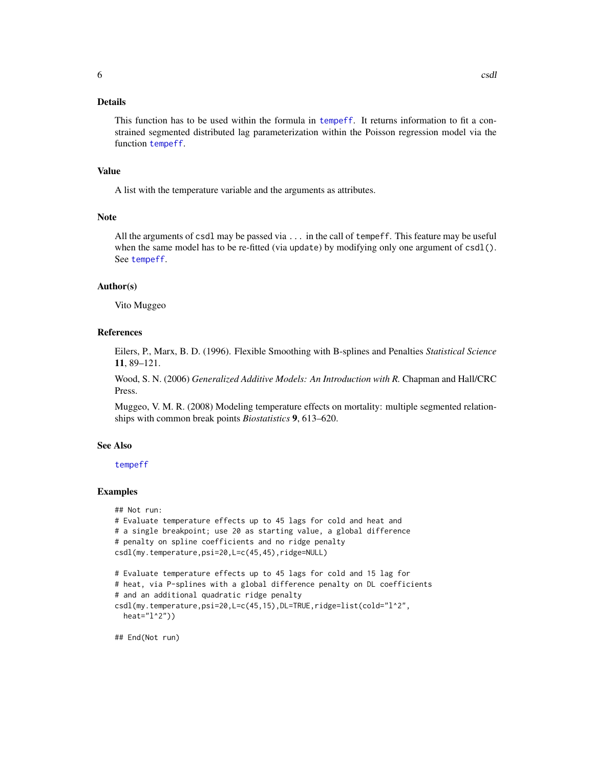# <span id="page-5-0"></span>Details

This function has to be used within the formula in [tempeff](#page-13-1). It returns information to fit a constrained segmented distributed lag parameterization within the Poisson regression model via the function [tempeff](#page-13-1).

#### Value

A list with the temperature variable and the arguments as attributes.

#### Note

All the arguments of csdl may be passed via ... in the call of tempeff. This feature may be useful when the same model has to be re-fitted (via update) by modifying only one argument of  $csdl()$ . See [tempeff](#page-13-1).

# Author(s)

Vito Muggeo

#### References

Eilers, P., Marx, B. D. (1996). Flexible Smoothing with B-splines and Penalties *Statistical Science* 11, 89–121.

Wood, S. N. (2006) *Generalized Additive Models: An Introduction with R.* Chapman and Hall/CRC Press.

Muggeo, V. M. R. (2008) Modeling temperature effects on mortality: multiple segmented relationships with common break points *Biostatistics* 9, 613–620.

# See Also

#### [tempeff](#page-13-1)

#### Examples

```
## Not run:
# Evaluate temperature effects up to 45 lags for cold and heat and
# a single breakpoint; use 20 as starting value, a global difference
# penalty on spline coefficients and no ridge penalty
csdl(my.temperature,psi=20,L=c(45,45),ridge=NULL)
# Evaluate temperature effects up to 45 lags for cold and 15 lag for
# heat, via P-splines with a global difference penalty on DL coefficients
# and an additional quadratic ridge penalty
csdl(my.temperature,psi=20,L=c(45,15),DL=TRUE,ridge=list(cold="l^2",
 heat="l^2"))
```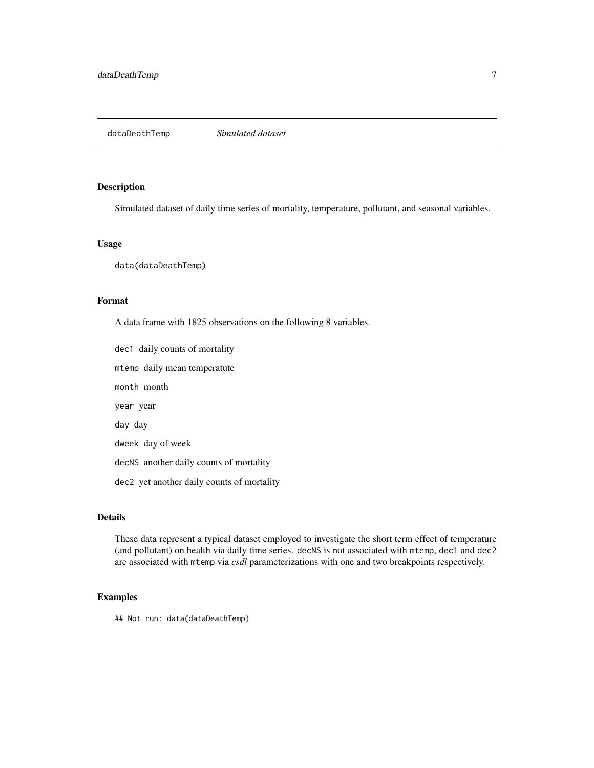<span id="page-6-0"></span>dataDeathTemp *Simulated dataset*

# Description

Simulated dataset of daily time series of mortality, temperature, pollutant, and seasonal variables.

# Usage

data(dataDeathTemp)

# Format

A data frame with 1825 observations on the following 8 variables.

dec1 daily counts of mortality mtemp daily mean temperatute month month year year day day dweek day of week decNS another daily counts of mortality dec2 yet another daily counts of mortality

# Details

These data represent a typical dataset employed to investigate the short term effect of temperature (and pollutant) on health via daily time series. decNS is not associated with mtemp, dec1 and dec2 are associated with mtemp via *csdl* parameterizations with one and two breakpoints respectively.

# Examples

## Not run: data(dataDeathTemp)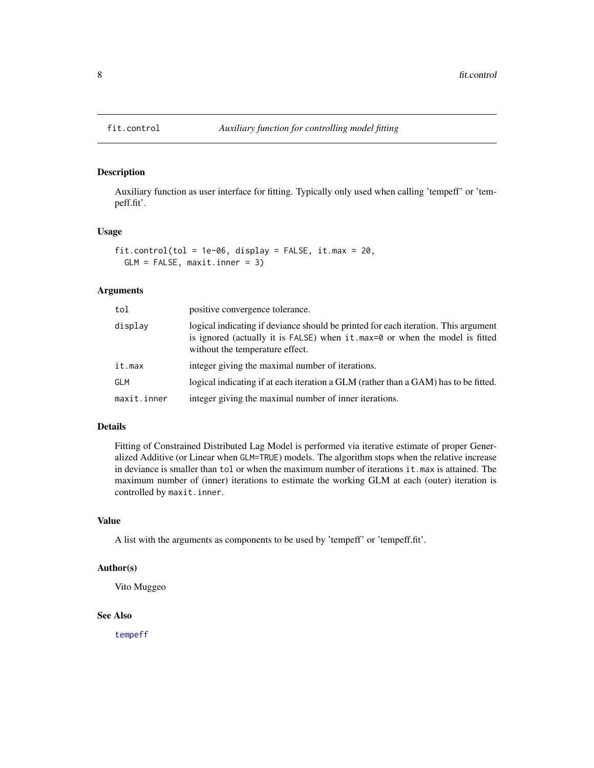<span id="page-7-0"></span>

# Description

Auxiliary function as user interface for fitting. Typically only used when calling 'tempeff' or 'tempeff.fit'.

#### Usage

```
fit.control(tol = 1e-06, display = FALSE, it.max = 20,
  GLM = FALSE, maxit.inner = 3)
```
# Arguments

| tol         | positive convergence tolerance.                                                                                                                                                                      |
|-------------|------------------------------------------------------------------------------------------------------------------------------------------------------------------------------------------------------|
| displav     | logical indicating if deviance should be printed for each iteration. This argument<br>is ignored (actually it is FALSE) when it max=0 or when the model is fitted<br>without the temperature effect. |
| it.max      | integer giving the maximal number of iterations.                                                                                                                                                     |
| GLM         | logical indicating if at each iteration a GLM (rather than a GAM) has to be fitted.                                                                                                                  |
| maxit.inner | integer giving the maximal number of inner iterations.                                                                                                                                               |

# Details

Fitting of Constrained Distributed Lag Model is performed via iterative estimate of proper Generalized Additive (or Linear when GLM=TRUE) models. The algorithm stops when the relative increase in deviance is smaller than tol or when the maximum number of iterations it.max is attained. The maximum number of (inner) iterations to estimate the working GLM at each (outer) iteration is controlled by maxit.inner.

# Value

A list with the arguments as components to be used by 'tempeff' or 'tempeff.fit'.

#### Author(s)

Vito Muggeo

# See Also

[tempeff](#page-13-1)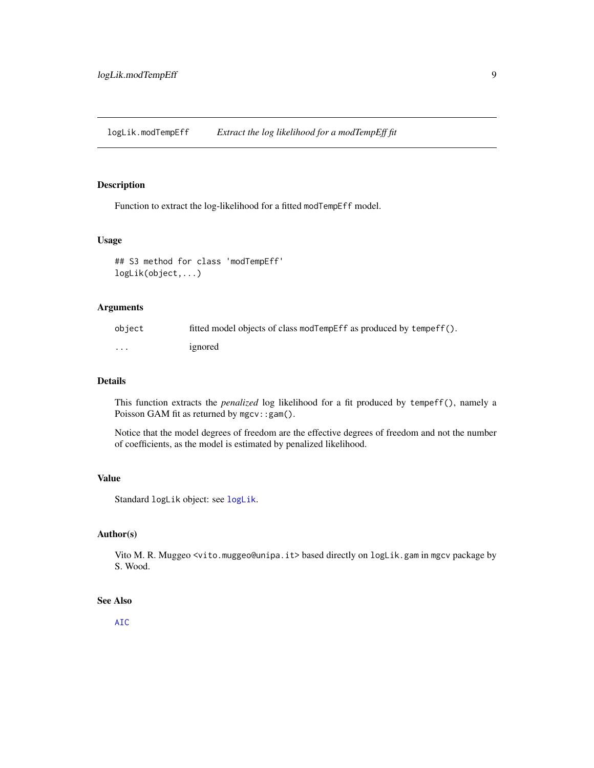<span id="page-8-0"></span>logLik.modTempEff *Extract the log likelihood for a modTempEff fit*

### Description

Function to extract the log-likelihood for a fitted modTempEff model.

# Usage

```
## S3 method for class 'modTempEff'
logLik(object,...)
```
### Arguments

| object   | fitted model objects of class modTempEff as produced by tempeff(). |
|----------|--------------------------------------------------------------------|
| $\cdots$ | ignored                                                            |

#### Details

This function extracts the *penalized* log likelihood for a fit produced by tempeff(), namely a Poisson GAM fit as returned by mgcv::gam().

Notice that the model degrees of freedom are the effective degrees of freedom and not the number of coefficients, as the model is estimated by penalized likelihood.

#### Value

Standard logLik object: see [logLik](#page-0-0).

# Author(s)

Vito M. R. Muggeo <vito.muggeo@unipa.it> based directly on logLik.gam in mgcv package by S. Wood.

#### See Also

[AIC](#page-0-0)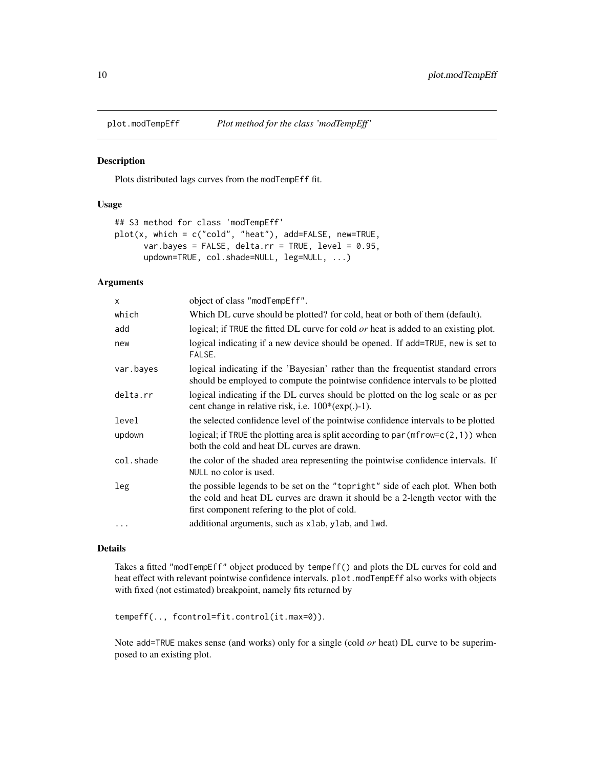<span id="page-9-1"></span><span id="page-9-0"></span>

#### Description

Plots distributed lags curves from the modTempEff fit.

# Usage

```
## S3 method for class 'modTempEff'
plot(x, which = c("cold", "heat"), add=FALSE, new=TRUE,
      var.bayes = FALSE, delta.rr = TRUE, level = 0.95,
      updown=TRUE, col.shade=NULL, leg=NULL, ...)
```
# Arguments

| $\times$  | object of class "modTempEff".                                                                                                                                                                                   |
|-----------|-----------------------------------------------------------------------------------------------------------------------------------------------------------------------------------------------------------------|
| which     | Which DL curve should be plotted? for cold, heat or both of them (default).                                                                                                                                     |
| add       | logical; if TRUE the fitted DL curve for cold or heat is added to an existing plot.                                                                                                                             |
| new       | logical indicating if a new device should be opened. If add=TRUE, new is set to<br>FALSE.                                                                                                                       |
| var.bayes | logical indicating if the 'Bayesian' rather than the frequentist standard errors<br>should be employed to compute the pointwise confidence intervals to be plotted                                              |
| delta.rr  | logical indicating if the DL curves should be plotted on the log scale or as per<br>cent change in relative risk, i.e. $100*(exp(.)-1)$ .                                                                       |
| level     | the selected confidence level of the pointwise confidence intervals to be plotted                                                                                                                               |
| updown    | logical; if TRUE the plotting area is split according to par ( $m$ frow= $c(2,1)$ ) when<br>both the cold and heat DL curves are drawn.                                                                         |
| col.shade | the color of the shaded area representing the pointwise confidence intervals. If<br>NULL no color is used.                                                                                                      |
| leg       | the possible legends to be set on the "topright" side of each plot. When both<br>the cold and heat DL curves are drawn it should be a 2-length vector with the<br>first component refering to the plot of cold. |
| $\ddots$  | additional arguments, such as xlab, ylab, and lwd.                                                                                                                                                              |

# Details

Takes a fitted "modTempEff" object produced by tempeff() and plots the DL curves for cold and heat effect with relevant pointwise confidence intervals. plot.modTempEff also works with objects with fixed (not estimated) breakpoint, namely fits returned by

```
tempeff(.., fcontrol=fit.control(it.max=0)).
```
Note add=TRUE makes sense (and works) only for a single (cold *or* heat) DL curve to be superimposed to an existing plot.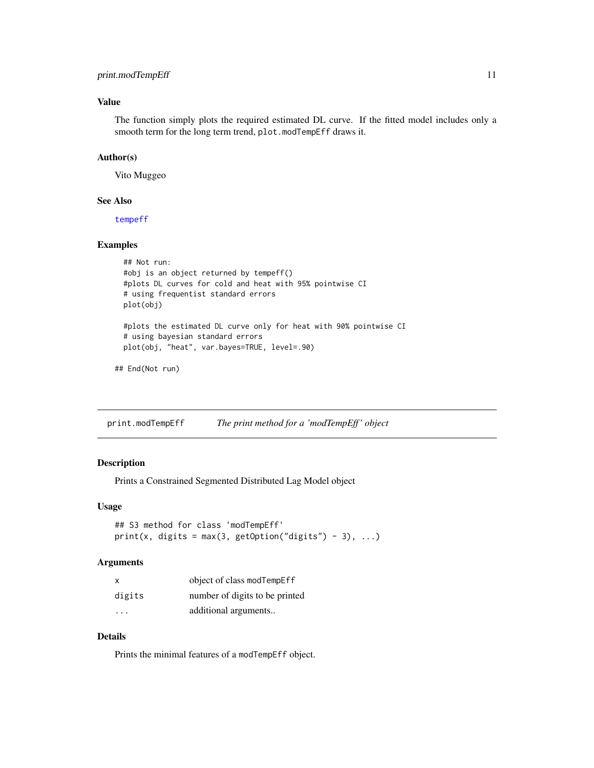# <span id="page-10-0"></span>print.modTempEff 11

# Value

The function simply plots the required estimated DL curve. If the fitted model includes only a smooth term for the long term trend, plot.modTempEff draws it.

# Author(s)

Vito Muggeo

#### See Also

[tempeff](#page-13-1)

# Examples

```
## Not run:
#obj is an object returned by tempeff()
#plots DL curves for cold and heat with 95% pointwise CI
# using frequentist standard errors
plot(obj)
#plots the estimated DL curve only for heat with 90% pointwise CI
# using bayesian standard errors
plot(obj, "heat", var.bayes=TRUE, level=.90)
```
## End(Not run)

<span id="page-10-1"></span>print.modTempEff *The print method for a 'modTempEff ' object*

# Description

Prints a Constrained Segmented Distributed Lag Model object

#### Usage

```
## S3 method for class 'modTempEff'
print(x, digits = max(3, getOption("digits") - 3), ...)
```
#### Arguments

| x                       | object of class modTempEff     |
|-------------------------|--------------------------------|
| digits                  | number of digits to be printed |
| $\cdot$ $\cdot$ $\cdot$ | additional arguments           |

# Details

Prints the minimal features of a modTempEff object.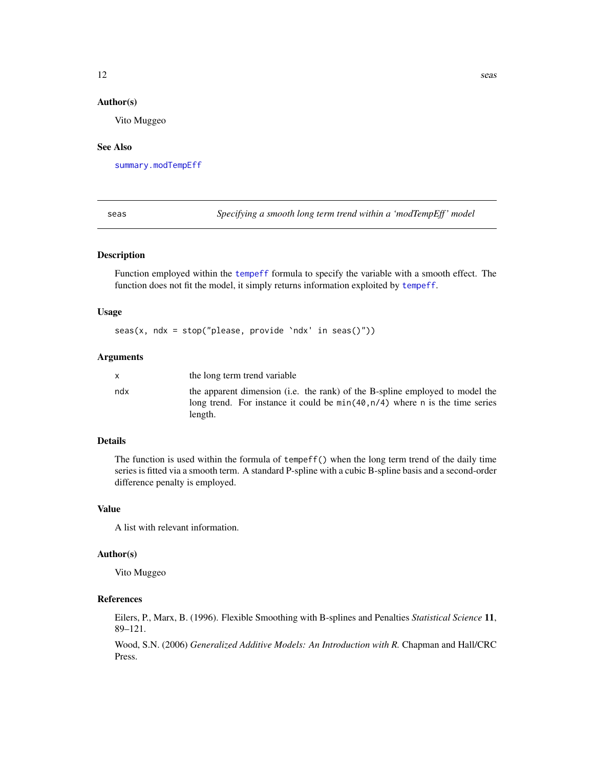# <span id="page-11-0"></span>Author(s)

Vito Muggeo

#### See Also

[summary.modTempEff](#page-12-1)

<span id="page-11-1"></span>seas *Specifying a smooth long term trend within a 'modTempEff ' model*

# Description

Function employed within the [tempeff](#page-13-1) formula to specify the variable with a smooth effect. The function does not fit the model, it simply returns information exploited by [tempeff](#page-13-1).

#### Usage

seas(x, ndx = stop("please, provide `ndx' in seas()"))

# Arguments

|     | the long term trend variable                                                                                                                                              |
|-----|---------------------------------------------------------------------------------------------------------------------------------------------------------------------------|
| ndx | the apparent dimension (i.e. the rank) of the B-spline employed to model the<br>long trend. For instance it could be $min(40, n/4)$ where n is the time series<br>length. |

# Details

The function is used within the formula of tempeff() when the long term trend of the daily time series is fitted via a smooth term. A standard P-spline with a cubic B-spline basis and a second-order difference penalty is employed.

# Value

A list with relevant information.

# Author(s)

Vito Muggeo

# References

Eilers, P., Marx, B. (1996). Flexible Smoothing with B-splines and Penalties *Statistical Science* 11, 89–121.

Wood, S.N. (2006) *Generalized Additive Models: An Introduction with R.* Chapman and Hall/CRC Press.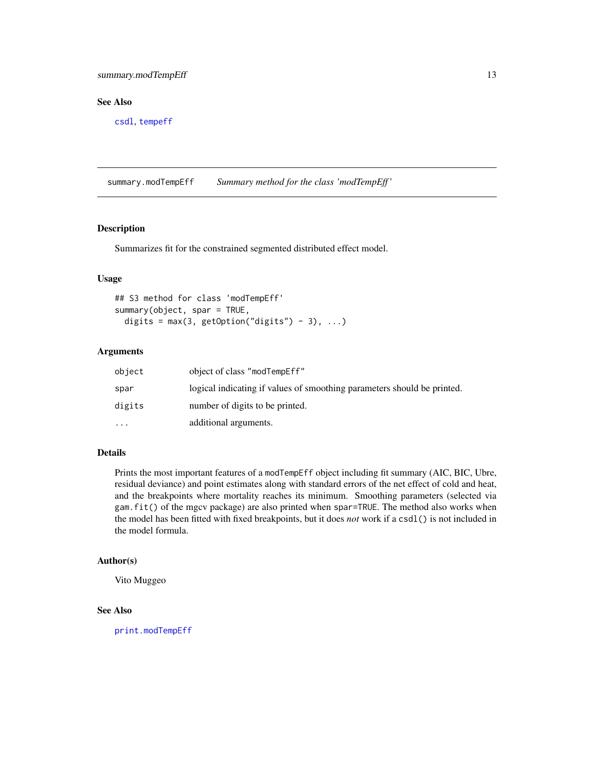# <span id="page-12-0"></span>summary.modTempEff 13

# See Also

[csdl](#page-4-1), [tempeff](#page-13-1)

<span id="page-12-1"></span>summary.modTempEff *Summary method for the class 'modTempEff '*

# Description

Summarizes fit for the constrained segmented distributed effect model.

# Usage

```
## S3 method for class 'modTempEff'
summary(object, spar = TRUE,
 digits = max(3, getOption("digits") - 3), ...
```
# Arguments

| object    | object of class "modTempEff"                                            |
|-----------|-------------------------------------------------------------------------|
| spar      | logical indicating if values of smoothing parameters should be printed. |
| digits    | number of digits to be printed.                                         |
| $\ddotsc$ | additional arguments.                                                   |

# Details

Prints the most important features of a modTempEff object including fit summary (AIC, BIC, Ubre, residual deviance) and point estimates along with standard errors of the net effect of cold and heat, and the breakpoints where mortality reaches its minimum. Smoothing parameters (selected via gam.fit() of the mgcv package) are also printed when spar=TRUE. The method also works when the model has been fitted with fixed breakpoints, but it does *not* work if a csdl() is not included in the model formula.

#### Author(s)

Vito Muggeo

# See Also

[print.modTempEff](#page-10-1)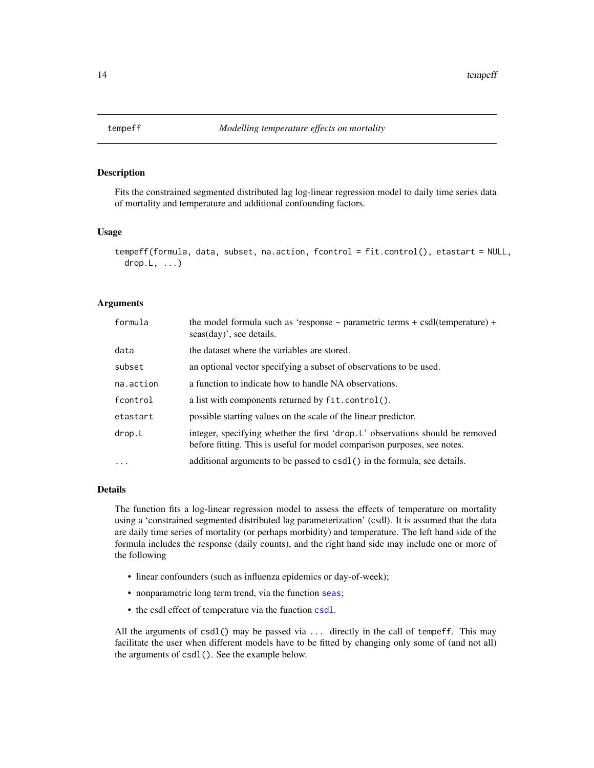<span id="page-13-1"></span><span id="page-13-0"></span>

#### Description

Fits the constrained segmented distributed lag log-linear regression model to daily time series data of mortality and temperature and additional confounding factors.

#### Usage

```
tempeff(formula, data, subset, na.action, fcontrol = fit.control(), etastart = NULL,
  drop.L, ...)
```
# Arguments

| formula   | the model formula such as 'response $\sim$ parametric terms + csdl(temperature) +<br>seas(day)', see details.                                              |
|-----------|------------------------------------------------------------------------------------------------------------------------------------------------------------|
| data      | the dataset where the variables are stored.                                                                                                                |
| subset    | an optional vector specifying a subset of observations to be used.                                                                                         |
| na.action | a function to indicate how to handle NA observations.                                                                                                      |
| fcontrol  | a list with components returned by fit.control().                                                                                                          |
| etastart  | possible starting values on the scale of the linear predictor.                                                                                             |
| drop.L    | integer, specifying whether the first 'drop. L' observations should be removed<br>before fitting. This is useful for model comparison purposes, see notes. |
| $\cdot$   | additional arguments to be passed to csdl() in the formula, see details.                                                                                   |

# Details

The function fits a log-linear regression model to assess the effects of temperature on mortality using a 'constrained segmented distributed lag parameterization' (csdl). It is assumed that the data are daily time series of mortality (or perhaps morbidity) and temperature. The left hand side of the formula includes the response (daily counts), and the right hand side may include one or more of the following

- linear confounders (such as influenza epidemics or day-of-week);
- nonparametric long term trend, via the function [seas](#page-11-1);
- the csdl effect of temperature via the function [csdl](#page-4-1).

All the arguments of csdl() may be passed via  $\dots$  directly in the call of tempeff. This may facilitate the user when different models have to be fitted by changing only some of (and not all) the arguments of csdl(). See the example below.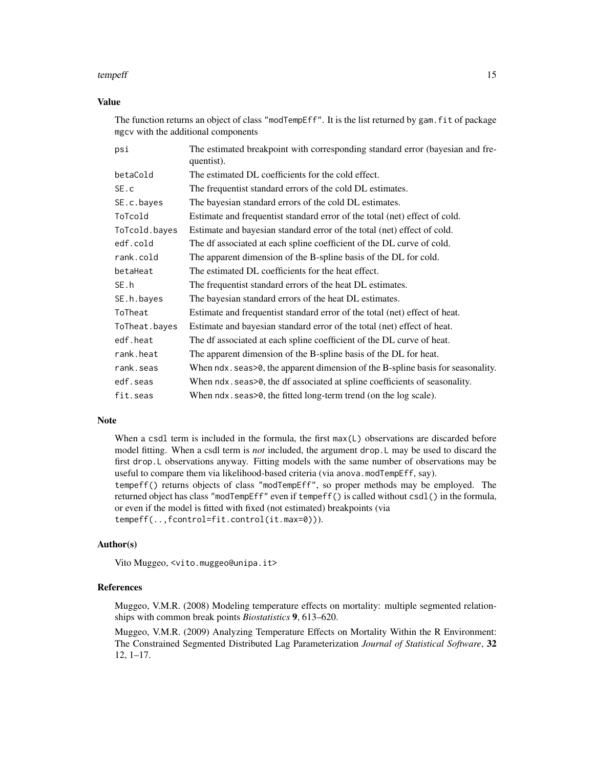#### tempeff and the state of the state of the state of the state of the state of the state of the state of the state of the state of the state of the state of the state of the state of the state of the state of the state of th

# Value

The function returns an object of class "modTempEff". It is the list returned by gam. fit of package mgcv with the additional components

| psi           | The estimated breakpoint with corresponding standard error (bayesian and fre-<br>quentist). |  |  |
|---------------|---------------------------------------------------------------------------------------------|--|--|
| betaCold      | The estimated DL coefficients for the cold effect.                                          |  |  |
| SE.c          | The frequentist standard errors of the cold DL estimates.                                   |  |  |
| SE.c.bayes    | The bayesian standard errors of the cold DL estimates.                                      |  |  |
| ToTcold       | Estimate and frequentist standard error of the total (net) effect of cold.                  |  |  |
| ToTcold.bayes | Estimate and bayesian standard error of the total (net) effect of cold.                     |  |  |
| edf.cold      | The df associated at each spline coefficient of the DL curve of cold.                       |  |  |
| rank.cold     | The apparent dimension of the B-spline basis of the DL for cold.                            |  |  |
| betaHeat      | The estimated DL coefficients for the heat effect.                                          |  |  |
| SE.h          | The frequentist standard errors of the heat DL estimates.                                   |  |  |
| SE.h.bayes    | The bayesian standard errors of the heat DL estimates.                                      |  |  |
| ToTheat       | Estimate and frequentist standard error of the total (net) effect of heat.                  |  |  |
| ToTheat.bayes | Estimate and bayesian standard error of the total (net) effect of heat.                     |  |  |
| edf.heat      | The df associated at each spline coefficient of the DL curve of heat.                       |  |  |
| rank.heat     | The apparent dimension of the B-spline basis of the DL for heat.                            |  |  |
| rank.seas     | When ndx. seas > 0, the apparent dimension of the B-spline basis for seasonality.           |  |  |
| edf.seas      | When ndx. seas>0, the df associated at spline coefficients of seasonality.                  |  |  |
| fit.seas      | When ndx. seas>0, the fitted long-term trend (on the log scale).                            |  |  |

#### Note

When a csdl term is included in the formula, the first max(L) observations are discarded before model fitting. When a csdl term is *not* included, the argument drop.L may be used to discard the first drop.L observations anyway. Fitting models with the same number of observations may be useful to compare them via likelihood-based criteria (via anova.modTempEff, say). tempeff() returns objects of class "modTempEff", so proper methods may be employed. The returned object has class "modTempEff" even if tempeff() is called without csdl() in the formula, or even if the model is fitted with fixed (not estimated) breakpoints (via

tempeff(..,fcontrol=fit.control(it.max=0))).

#### Author(s)

Vito Muggeo, <vito.muggeo@unipa.it>

#### References

Muggeo, V.M.R. (2008) Modeling temperature effects on mortality: multiple segmented relationships with common break points *Biostatistics* 9, 613–620.

Muggeo, V.M.R. (2009) Analyzing Temperature Effects on Mortality Within the R Environment: The Constrained Segmented Distributed Lag Parameterization *Journal of Statistical Software*, 32 12, 1–17.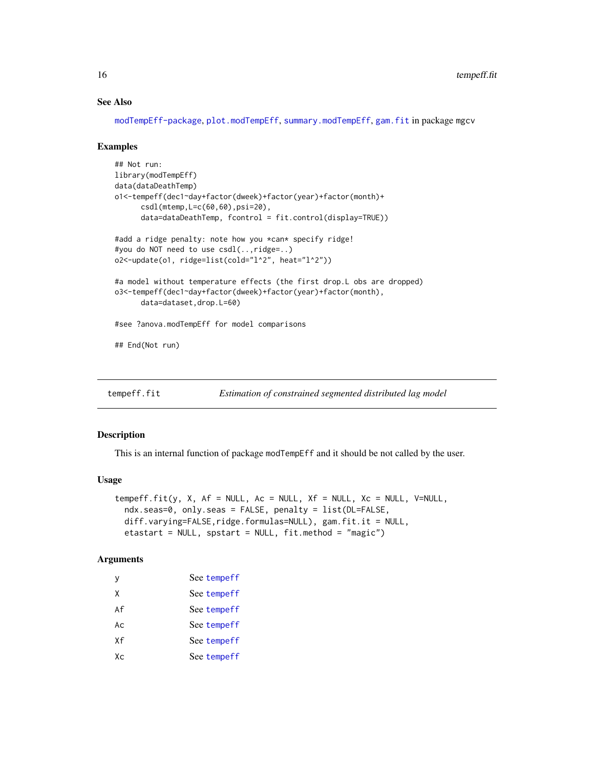# See Also

[modTempEff-package](#page-1-1), [plot.modTempEff](#page-9-1), [summary.modTempEff](#page-12-1), [gam.fit](#page-0-0) in package mgcv

#### Examples

```
## Not run:
library(modTempEff)
data(dataDeathTemp)
o1<-tempeff(dec1~day+factor(dweek)+factor(year)+factor(month)+
      csdl(mtemp,L=c(60,60),psi=20),
      data=dataDeathTemp, fcontrol = fit.control(display=TRUE))
#add a ridge penalty: note how you *can* specify ridge!
#you do NOT need to use csdl(..,ridge=..)
o2<-update(o1, ridge=list(cold="l^2", heat="l^2"))
#a model without temperature effects (the first drop.L obs are dropped)
o3<-tempeff(dec1~day+factor(dweek)+factor(year)+factor(month),
      data=dataset,drop.L=60)
#see ?anova.modTempEff for model comparisons
## End(Not run)
```
tempeff.fit *Estimation of constrained segmented distributed lag model*

#### Description

This is an internal function of package modTempEff and it should be not called by the user.

# Usage

```
tempeff.fit(y, X, Af = NULL, Ac = NULL, Xf = NULL, Xc = NULL, V=NULL,
 ndx.seas=0, only.seas = FALSE, penalty = list(DL=FALSE,
 diff.varying=FALSE,ridge.formulas=NULL), gam.fit.it = NULL,
 etastart = NULL, spstart = NULL, fit.method = "magic")
```
# Arguments

| v   | See tempeff |
|-----|-------------|
| X   | See tempeff |
| Af  | See tempeff |
| Ac. | See tempeff |
| Χf  | See tempeff |
| Хc  | See tempeff |
|     |             |

<span id="page-15-0"></span>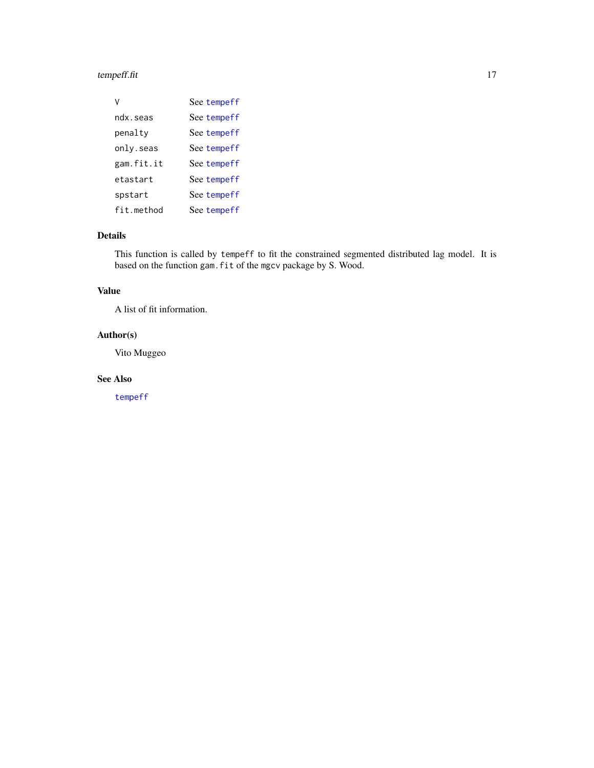# <span id="page-16-0"></span>tempeff.fit 17

| v          | See tempeff |
|------------|-------------|
| ndx.seas   | See tempeff |
| penalty    | See tempeff |
| only.seas  | See tempeff |
| gam.fit.it | See tempeff |
| etastart   | See tempeff |
| spstart    | See tempeff |
| fit.method | See tempeff |

# Details

This function is called by tempeff to fit the constrained segmented distributed lag model. It is based on the function gam.fit of the mgcv package by S. Wood.

# Value

A list of fit information.

# Author(s)

Vito Muggeo

# See Also

[tempeff](#page-13-1)